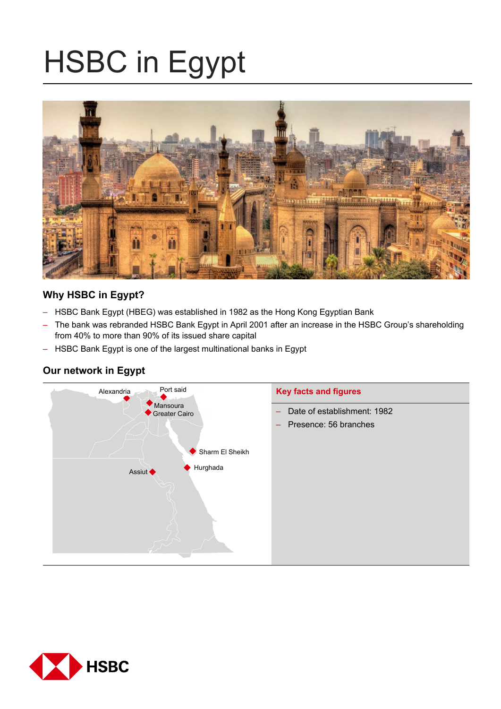# HSBC in Egypt



# **Why HSBC in Egypt?**

- HSBC Bank Egypt (HBEG) was established in 1982 as the Hong Kong Egyptian Bank
- The bank was rebranded HSBC Bank Egypt in April 2001 after an increase in the HSBC Group's shareholding from 40% to more than 90% of its issued share capital
- HSBC Bank Egypt is one of the largest multinational banks in Egypt

# **Our network in Egypt**